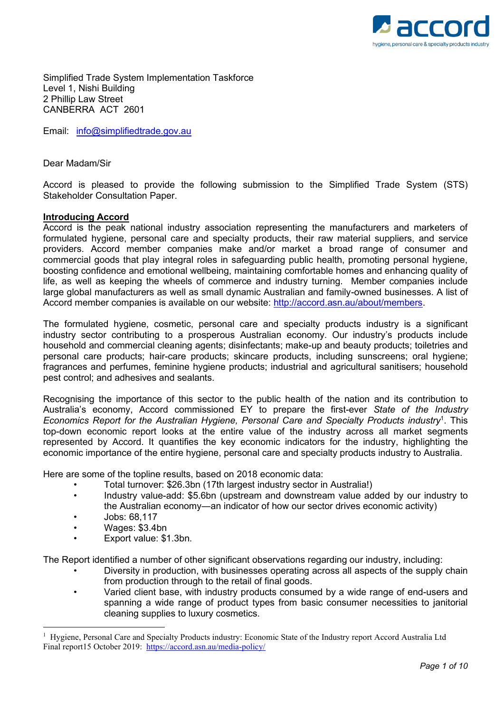

Simplified Trade System Implementation Taskforce Level 1, Nishi Building 2 Phillip Law Street CANBERRA ACT 2601

Email: [info@simplifiedtrade.gov.au](mailto:info@simplifiedtrade.gov.au)

## Dear Madam/Sir

Accord is pleased to provide the following submission to the Simplified Trade System (STS) Stakeholder Consultation Paper.

## **Introducing Accord**

Accord is the peak national industry association representing the manufacturers and marketers of formulated hygiene, personal care and specialty products, their raw material suppliers, and service providers. Accord member companies make and/or market a broad range of consumer and commercial goods that play integral roles in safeguarding public health, promoting personal hygiene, boosting confidence and emotional wellbeing, maintaining comfortable homes and enhancing quality of life, as well as keeping the wheels of commerce and industry turning. Member companies include large global manufacturers as well as small dynamic Australian and family-owned businesses. A list of Accord member companies is available on our website: [http://accord.asn.au/about/members.](http://accord.asn.au/about/members)

The formulated hygiene, cosmetic, personal care and specialty products industry is a significant industry sector contributing to a prosperous Australian economy. Our industry's products include household and commercial cleaning agents; disinfectants; make-up and beauty products; toiletries and personal care products; hair-care products; skincare products, including sunscreens; oral hygiene; fragrances and perfumes, feminine hygiene products; industrial and agricultural sanitisers; household pest control; and adhesives and sealants.

Recognising the importance of this sector to the public health of the nation and its contribution to Australia's economy, Accord commissioned EY to prepare the first-ever *State of the Industry*  Economics Report for the Australian Hygiene, Personal Care and Specialty Products industry<sup>1</sup>. This top-down economic report looks at the entire value of the industry across all market segments represented by Accord. It quantifies the key economic indicators for the industry, highlighting the economic importance of the entire hygiene, personal care and specialty products industry to Australia.

Here are some of the topline results, based on 2018 economic data:

- Total turnover: \$26.3bn (17th largest industry sector in Australia!)
- Industry value-add: \$5.6bn (upstream and downstream value added by our industry to the Australian economy―an indicator of how our sector drives economic activity)
- Jobs: 68,117
- Wages: \$3.4bn
- Export value: \$1.3bn.

The Report identified a number of other significant observations regarding our industry, including:

- Diversity in production, with businesses operating across all aspects of the supply chain from production through to the retail of final goods.
- Varied client base, with industry products consumed by a wide range of end-users and spanning a wide range of product types from basic consumer necessities to janitorial cleaning supplies to luxury cosmetics.

<sup>1</sup> Hygiene, Personal Care and Specialty Products industry: Economic State of the Industry report Accord Australia Ltd Final report15 October 2019: <https://accord.asn.au/media-policy/>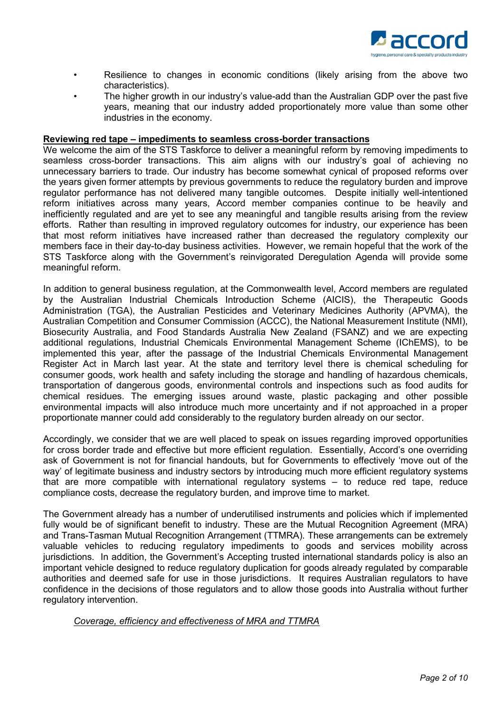

- Resilience to changes in economic conditions (likely arising from the above two characteristics).
- The higher growth in our industry's value-add than the Australian GDP over the past five years, meaning that our industry added proportionately more value than some other industries in the economy.

### **Reviewing red tape – impediments to seamless cross-border transactions**

We welcome the aim of the STS Taskforce to deliver a meaningful reform by removing impediments to seamless cross-border transactions. This aim aligns with our industry's goal of achieving no unnecessary barriers to trade. Our industry has become somewhat cynical of proposed reforms over the years given former attempts by previous governments to reduce the regulatory burden and improve regulator performance has not delivered many tangible outcomes. Despite initially well-intentioned reform initiatives across many years, Accord member companies continue to be heavily and inefficiently regulated and are yet to see any meaningful and tangible results arising from the review efforts. Rather than resulting in improved regulatory outcomes for industry, our experience has been that most reform initiatives have increased rather than decreased the regulatory complexity our members face in their day-to-day business activities. However, we remain hopeful that the work of the STS Taskforce along with the Government's reinvigorated Deregulation Agenda will provide some meaningful reform.

In addition to general business regulation, at the Commonwealth level, Accord members are regulated by the Australian Industrial Chemicals Introduction Scheme (AICIS), the Therapeutic Goods Administration (TGA), the Australian Pesticides and Veterinary Medicines Authority (APVMA), the Australian Competition and Consumer Commission (ACCC), the National Measurement Institute (NMI), Biosecurity Australia, and Food Standards Australia New Zealand (FSANZ) and we are expecting additional regulations, Industrial Chemicals Environmental Management Scheme (IChEMS), to be implemented this year, after the passage of the Industrial Chemicals Environmental Management Register Act in March last year. At the state and territory level there is chemical scheduling for consumer goods, work health and safety including the storage and handling of hazardous chemicals, transportation of dangerous goods, environmental controls and inspections such as food audits for chemical residues. The emerging issues around waste, plastic packaging and other possible environmental impacts will also introduce much more uncertainty and if not approached in a proper proportionate manner could add considerably to the regulatory burden already on our sector.

Accordingly, we consider that we are well placed to speak on issues regarding improved opportunities for cross border trade and effective but more efficient regulation. Essentially, Accord's one overriding ask of Government is not for financial handouts, but for Governments to effectively 'move out of the way' of legitimate business and industry sectors by introducing much more efficient regulatory systems that are more compatible with international regulatory systems – to reduce red tape, reduce compliance costs, decrease the regulatory burden, and improve time to market.

The Government already has a number of underutilised instruments and policies which if implemented fully would be of significant benefit to industry. These are the Mutual Recognition Agreement (MRA) and Trans-Tasman Mutual Recognition Arrangement (TTMRA). These arrangements can be extremely valuable vehicles to reducing regulatory impediments to goods and services mobility across jurisdictions. In addition, the Government's Accepting trusted international standards policy is also an important vehicle designed to reduce regulatory duplication for goods already regulated by comparable authorities and deemed safe for use in those jurisdictions. It requires Australian regulators to have confidence in the decisions of those regulators and to allow those goods into Australia without further regulatory intervention.

### *Coverage, efficiency and effectiveness of MRA and TTMRA*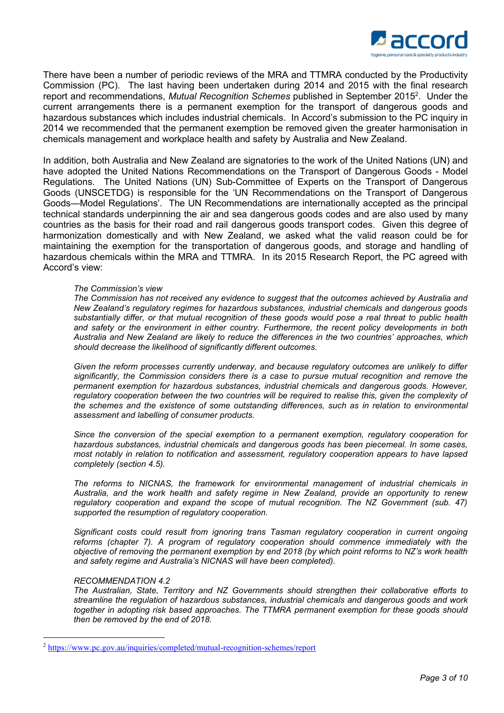

There have been a number of periodic reviews of the MRA and TTMRA conducted by the Productivity Commission (PC). The last having been undertaken during 2014 and 2015 with the final research report and recommendations, Mutual Recognition Schemes published in September 2015<sup>2</sup>. Under the current arrangements there is a permanent exemption for the transport of dangerous goods and hazardous substances which includes industrial chemicals. In Accord's submission to the PC inquiry in 2014 we recommended that the permanent exemption be removed given the greater harmonisation in chemicals management and workplace health and safety by Australia and New Zealand.

In addition, both Australia and New Zealand are signatories to the work of the United Nations (UN) and have adopted the United Nations Recommendations on the Transport of Dangerous Goods - Model Regulations. The United Nations (UN) Sub-Committee of Experts on the Transport of Dangerous Goods (UNSCETDG) is responsible for the 'UN Recommendations on the Transport of Dangerous Goods—Model Regulations'. The UN Recommendations are internationally accepted as the principal technical standards underpinning the air and sea dangerous goods codes and are also used by many countries as the basis for their road and rail dangerous goods transport codes. Given this degree of harmonization domestically and with New Zealand, we asked what the valid reason could be for maintaining the exemption for the transportation of dangerous goods, and storage and handling of hazardous chemicals within the MRA and TTMRA. In its 2015 Research Report, the PC agreed with Accord's view:

#### *The Commission's view*

*The Commission has not received any evidence to suggest that the outcomes achieved by Australia and New Zealand's regulatory regimes for hazardous substances, industrial chemicals and dangerous goods substantially differ, or that mutual recognition of these goods would pose a real threat to public health and safety or the environment in either country. Furthermore, the recent policy developments in both Australia and New Zealand are likely to reduce the differences in the two countries' approaches, which should decrease the likelihood of significantly different outcomes.*

*Given the reform processes currently underway, and because regulatory outcomes are unlikely to differ significantly, the Commission considers there is a case to pursue mutual recognition and remove the permanent exemption for hazardous substances, industrial chemicals and dangerous goods. However, regulatory cooperation between the two countries will be required to realise this, given the complexity of the schemes and the existence of some outstanding differences, such as in relation to environmental assessment and labelling of consumer products.* 

*Since the conversion of the special exemption to a permanent exemption, regulatory cooperation for hazardous substances, industrial chemicals and dangerous goods has been piecemeal. In some cases, most notably in relation to notification and assessment, regulatory cooperation appears to have lapsed completely (section 4.5).* 

*The reforms to NICNAS, the framework for environmental management of industrial chemicals in Australia, and the work health and safety regime in New Zealand, provide an opportunity to renew*  regulatory cooperation and expand the scope of mutual recognition. The NZ Government (sub. 47) *supported the resumption of regulatory cooperation.* 

*Significant costs could result from ignoring trans Tasman regulatory cooperation in current ongoing reforms (chapter 7). A program of regulatory cooperation should commence immediately with the objective of removing the permanent exemption by end 2018 (by which point reforms to NZ's work health and safety regime and Australia's NICNAS will have been completed).*

#### *RECOMMENDATION 4.2*

*The Australian, State, Territory and NZ Governments should strengthen their collaborative efforts to streamline the regulation of hazardous substances, industrial chemicals and dangerous goods and work together in adopting risk based approaches. The TTMRA permanent exemption for these goods should then be removed by the end of 2018.*

<sup>2</sup> <https://www.pc.gov.au/inquiries/completed/mutual-recognition-schemes/report>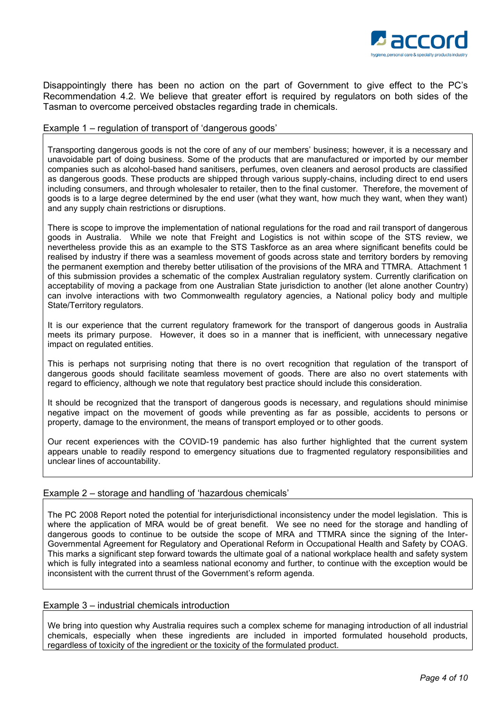

Disappointingly there has been no action on the part of Government to give effect to the PC's Recommendation 4.2. We believe that greater effort is required by regulators on both sides of the Tasman to overcome perceived obstacles regarding trade in chemicals.

#### Example 1 – regulation of transport of 'dangerous goods'

Transporting dangerous goods is not the core of any of our members' business; however, it is a necessary and unavoidable part of doing business. Some of the products that are manufactured or imported by our member companies such as alcohol-based hand sanitisers, perfumes, oven cleaners and aerosol products are classified as dangerous goods. These products are shipped through various supply-chains, including direct to end users including consumers, and through wholesaler to retailer, then to the final customer. Therefore, the movement of goods is to a large degree determined by the end user (what they want, how much they want, when they want) and any supply chain restrictions or disruptions.

There is scope to improve the implementation of national regulations for the road and rail transport of dangerous goods in Australia. While we note that Freight and Logistics is not within scope of the STS review, we nevertheless provide this as an example to the STS Taskforce as an area where significant benefits could be realised by industry if there was a seamless movement of goods across state and territory borders by removing the permanent exemption and thereby better utilisation of the provisions of the MRA and TTMRA. Attachment 1 of this submission provides a schematic of the complex Australian regulatory system. Currently clarification on acceptability of moving a package from one Australian State jurisdiction to another (let alone another Country) can involve interactions with two Commonwealth regulatory agencies, a National policy body and multiple State/Territory regulators.

It is our experience that the current regulatory framework for the transport of dangerous goods in Australia meets its primary purpose. However, it does so in a manner that is inefficient, with unnecessary negative impact on regulated entities.

This is perhaps not surprising noting that there is no overt recognition that regulation of the transport of dangerous goods should facilitate seamless movement of goods. There are also no overt statements with regard to efficiency, although we note that regulatory best practice should include this consideration.

It should be recognized that the transport of dangerous goods is necessary, and regulations should minimise negative impact on the movement of goods while preventing as far as possible, accidents to persons or property, damage to the environment, the means of transport employed or to other goods.

Our recent experiences with the COVID-19 pandemic has also further highlighted that the current system appears unable to readily respond to emergency situations due to fragmented regulatory responsibilities and unclear lines of accountability.

### Example 2 – storage and handling of 'hazardous chemicals'

The PC 2008 Report noted the potential for interjurisdictional inconsistency under the model legislation. This is where the application of MRA would be of great benefit. We see no need for the storage and handling of dangerous goods to continue to be outside the scope of MRA and TTMRA since the signing of the Inter-Governmental Agreement for Regulatory and Operational Reform in Occupational Health and Safety by COAG. This marks a significant step forward towards the ultimate goal of a national workplace health and safety system which is fully integrated into a seamless national economy and further, to continue with the exception would be inconsistent with the current thrust of the Government's reform agenda.

### Example 3 – industrial chemicals introduction

We bring into question why Australia requires such a complex scheme for managing introduction of all industrial chemicals, especially when these ingredients are included in imported formulated household products, regardless of toxicity of the ingredient or the toxicity of the formulated product.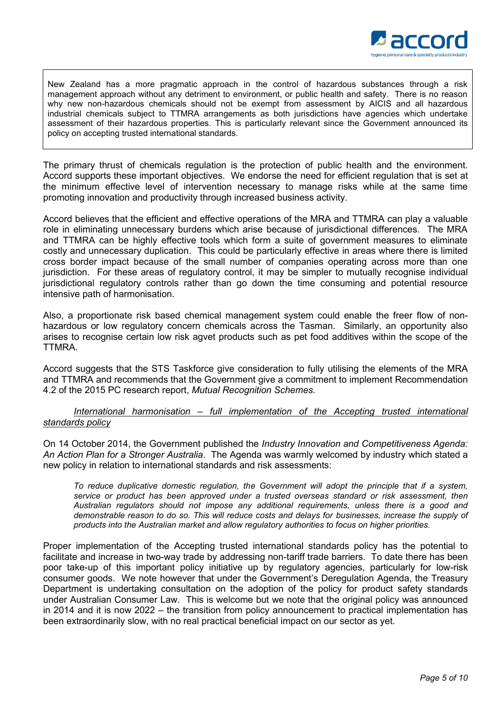

New Zealand has a more pragmatic approach in the control of hazardous substances through a risk management approach without any detriment to environment, or public health and safety. There is no reason why new non-hazardous chemicals should not be exempt from assessment by AICIS and all hazardous industrial chemicals subject to TTMRA arrangements as both jurisdictions have agencies which undertake assessment of their hazardous properties. This is particularly relevant since the Government announced its policy on accepting trusted international standards.

The primary thrust of chemicals regulation is the protection of public health and the environment. Accord supports these important objectives. We endorse the need for efficient regulation that is set at the minimum effective level of intervention necessary to manage risks while at the same time promoting innovation and productivity through increased business activity.

Accord believes that the efficient and effective operations of the MRA and TTMRA can play a valuable role in eliminating unnecessary burdens which arise because of jurisdictional differences. The MRA and TTMRA can be highly effective tools which form a suite of government measures to eliminate costly and unnecessary duplication. This could be particularly effective in areas where there is limited cross border impact because of the small number of companies operating across more than one jurisdiction. For these areas of regulatory control, it may be simpler to mutually recognise individual jurisdictional regulatory controls rather than go down the time consuming and potential resource intensive path of harmonisation.

Also, a proportionate risk based chemical management system could enable the freer flow of nonhazardous or low regulatory concern chemicals across the Tasman. Similarly, an opportunity also arises to recognise certain low risk agvet products such as pet food additives within the scope of the TTMRA.

Accord suggests that the STS Taskforce give consideration to fully utilising the elements of the MRA and TTMRA and recommends that the Government give a commitment to implement Recommendation 4.2 of the 2015 PC research report, *Mutual Recognition Schemes*.

## *International harmonisation – full implementation of the Accepting trusted international standards policy*

On 14 October 2014, the Government published the *Industry Innovation and Competitiveness Agenda: An Action Plan for a Stronger Australia*. The Agenda was warmly welcomed by industry which stated a new policy in relation to international standards and risk assessments:

*To reduce duplicative domestic regulation, the Government will adopt the principle that if a system, service or product has been approved under a trusted overseas standard or risk assessment, then Australian regulators should not impose any additional requirements, unless there is a good and demonstrable reason to do so. This will reduce costs and delays for businesses, increase the supply of products into the Australian market and allow regulatory authorities to focus on higher priorities.*

Proper implementation of the Accepting trusted international standards policy has the potential to facilitate and increase in two-way trade by addressing non-tariff trade barriers. To date there has been poor take-up of this important policy initiative up by regulatory agencies, particularly for low-risk consumer goods. We note however that under the Government's Deregulation Agenda, the Treasury Department is undertaking consultation on the adoption of the policy for product safety standards under Australian Consumer Law. This is welcome but we note that the original policy was announced in 2014 and it is now 2022 – the transition from policy announcement to practical implementation has been extraordinarily slow, with no real practical beneficial impact on our sector as yet.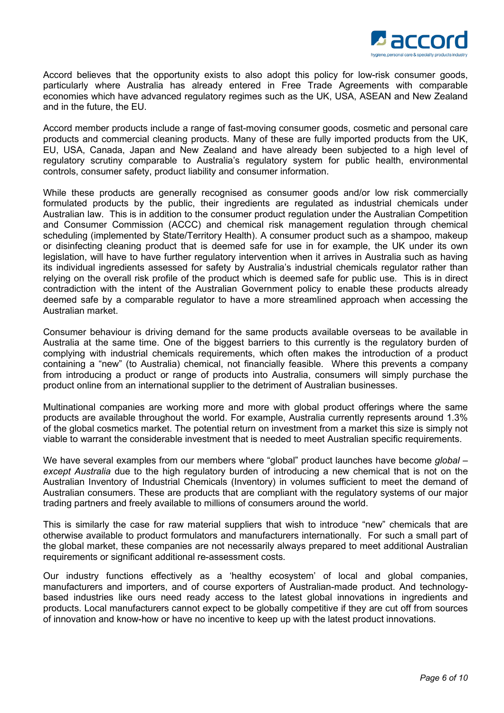

Accord believes that the opportunity exists to also adopt this policy for low-risk consumer goods, particularly where Australia has already entered in Free Trade Agreements with comparable economies which have advanced regulatory regimes such as the UK, USA, ASEAN and New Zealand and in the future, the EU.

Accord member products include a range of fast-moving consumer goods, cosmetic and personal care products and commercial cleaning products. Many of these are fully imported products from the UK, EU, USA, Canada, Japan and New Zealand and have already been subjected to a high level of regulatory scrutiny comparable to Australia's regulatory system for public health, environmental controls, consumer safety, product liability and consumer information.

While these products are generally recognised as consumer goods and/or low risk commercially formulated products by the public, their ingredients are regulated as industrial chemicals under Australian law. This is in addition to the consumer product regulation under the Australian Competition and Consumer Commission (ACCC) and chemical risk management regulation through chemical scheduling (implemented by State/Territory Health). A consumer product such as a shampoo, makeup or disinfecting cleaning product that is deemed safe for use in for example, the UK under its own legislation, will have to have further regulatory intervention when it arrives in Australia such as having its individual ingredients assessed for safety by Australia's industrial chemicals regulator rather than relying on the overall risk profile of the product which is deemed safe for public use. This is in direct contradiction with the intent of the Australian Government policy to enable these products already deemed safe by a comparable regulator to have a more streamlined approach when accessing the Australian market.

Consumer behaviour is driving demand for the same products available overseas to be available in Australia at the same time. One of the biggest barriers to this currently is the regulatory burden of complying with industrial chemicals requirements, which often makes the introduction of a product containing a "new" (to Australia) chemical, not financially feasible. Where this prevents a company from introducing a product or range of products into Australia, consumers will simply purchase the product online from an international supplier to the detriment of Australian businesses.

Multinational companies are working more and more with global product offerings where the same products are available throughout the world. For example, Australia currently represents around 1.3% of the global cosmetics market. The potential return on investment from a market this size is simply not viable to warrant the considerable investment that is needed to meet Australian specific requirements.

We have several examples from our members where "global" product launches have become *global – except Australia* due to the high regulatory burden of introducing a new chemical that is not on the Australian Inventory of Industrial Chemicals (Inventory) in volumes sufficient to meet the demand of Australian consumers. These are products that are compliant with the regulatory systems of our major trading partners and freely available to millions of consumers around the world.

This is similarly the case for raw material suppliers that wish to introduce "new" chemicals that are otherwise available to product formulators and manufacturers internationally. For such a small part of the global market, these companies are not necessarily always prepared to meet additional Australian requirements or significant additional re-assessment costs.

Our industry functions effectively as a 'healthy ecosystem' of local and global companies, manufacturers and importers, and of course exporters of Australian-made product. And technologybased industries like ours need ready access to the latest global innovations in ingredients and products. Local manufacturers cannot expect to be globally competitive if they are cut off from sources of innovation and know-how or have no incentive to keep up with the latest product innovations.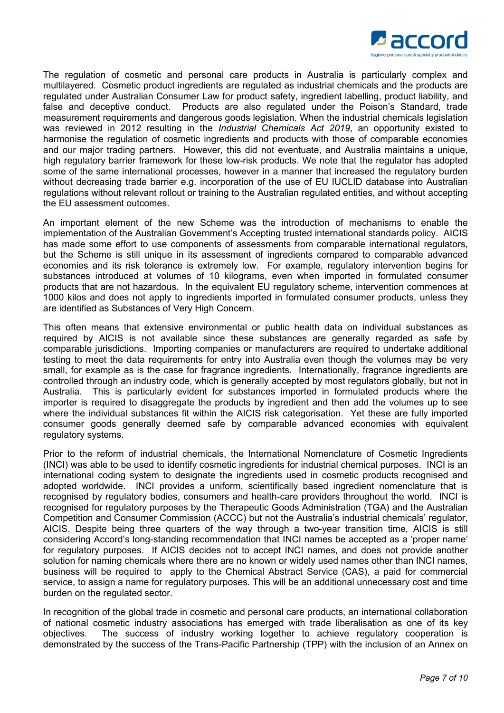

The regulation of cosmetic and personal care products in Australia is particularly complex and multilayered. Cosmetic product ingredients are regulated as industrial chemicals and the products are regulated under Australian Consumer Law for product safety, ingredient labelling, product liability, and false and deceptive conduct. Products are also regulated under the Poison's Standard, trade measurement requirements and dangerous goods legislation. When the industrial chemicals legislation was reviewed in 2012 resulting in the *Industrial Chemicals Act 2019*, an opportunity existed to harmonise the regulation of cosmetic ingredients and products with those of comparable economies and our major trading partners. However, this did not eventuate, and Australia maintains a unique, high regulatory barrier framework for these low-risk products. We note that the regulator has adopted some of the same international processes, however in a manner that increased the regulatory burden without decreasing trade barrier e.g. incorporation of the use of EU IUCLID database into Australian regulations without relevant rollout or training to the Australian regulated entities, and without accepting the EU assessment outcomes.

An important element of the new Scheme was the introduction of mechanisms to enable the implementation of the Australian Government's Accepting trusted international standards policy. AICIS has made some effort to use components of assessments from comparable international regulators, but the Scheme is still unique in its assessment of ingredients compared to comparable advanced economies and its risk tolerance is extremely low. For example, regulatory intervention begins for substances introduced at volumes of 10 kilograms, even when imported in formulated consumer products that are not hazardous. In the equivalent EU regulatory scheme, intervention commences at 1000 kilos and does not apply to ingredients imported in formulated consumer products, unless they are identified as Substances of Very High Concern.

This often means that extensive environmental or public health data on individual substances as required by AICIS is not available since these substances are generally regarded as safe by comparable jurisdictions. Importing companies or manufacturers are required to undertake additional testing to meet the data requirements for entry into Australia even though the volumes may be very small, for example as is the case for fragrance ingredients. Internationally, fragrance ingredients are controlled through an industry code, which is generally accepted by most regulators globally, but not in Australia. This is particularly evident for substances imported in formulated products where the importer is required to disaggregate the products by ingredient and then add the volumes up to see where the individual substances fit within the AICIS risk categorisation. Yet these are fully imported consumer goods generally deemed safe by comparable advanced economies with equivalent regulatory systems.

Prior to the reform of industrial chemicals, the International Nomenclature of Cosmetic Ingredients (INCI) was able to be used to identify cosmetic ingredients for industrial chemical purposes. INCI is an international coding system to designate the ingredients used in cosmetic products recognised and adopted worldwide. INCI provides a uniform, scientifically based ingredient nomenclature that is recognised by regulatory bodies, consumers and health-care providers throughout the world. INCI is recognised for regulatory purposes by the Therapeutic Goods Administration (TGA) and the Australian Competition and Consumer Commission (ACCC) but not the Australia's industrial chemicals' regulator, AICIS. Despite being three quarters of the way through a two-year transition time, AICIS is still considering Accord's long-standing recommendation that INCI names be accepted as a 'proper name' for regulatory purposes. If AICIS decides not to accept INCI names, and does not provide another solution for naming chemicals where there are no known or widely used names other than INCI names, business will be required to apply to the Chemical Abstract Service (CAS), a paid for commercial service, to assign a name for regulatory purposes. This will be an additional unnecessary cost and time burden on the regulated sector.

In recognition of the global trade in cosmetic and personal care products, an international collaboration of national cosmetic industry associations has emerged with trade liberalisation as one of its key objectives. The success of industry working together to achieve regulatory cooperation is demonstrated by the success of the Trans-Pacific Partnership (TPP) with the inclusion of an Annex on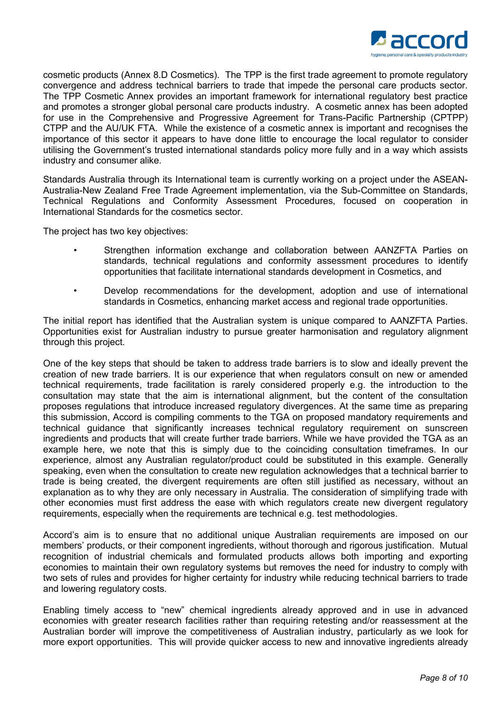

cosmetic products (Annex 8.D Cosmetics). The TPP is the first trade agreement to promote regulatory convergence and address technical barriers to trade that impede the personal care products sector. The TPP Cosmetic Annex provides an important framework for international regulatory best practice and promotes a stronger global personal care products industry. A cosmetic annex has been adopted for use in the Comprehensive and Progressive Agreement for Trans-Pacific Partnership (CPTPP) CTPP and the AU/UK FTA. While the existence of a cosmetic annex is important and recognises the importance of this sector it appears to have done little to encourage the local regulator to consider utilising the Government's trusted international standards policy more fully and in a way which assists industry and consumer alike.

Standards Australia through its International team is currently working on a project under the ASEAN-Australia-New Zealand Free Trade Agreement implementation, via the Sub-Committee on Standards, Technical Regulations and Conformity Assessment Procedures, focused on cooperation in International Standards for the cosmetics sector.

The project has two key objectives:

- Strengthen information exchange and collaboration between AANZFTA Parties on standards, technical regulations and conformity assessment procedures to identify opportunities that facilitate international standards development in Cosmetics, and
- Develop recommendations for the development, adoption and use of international standards in Cosmetics, enhancing market access and regional trade opportunities.

The initial report has identified that the Australian system is unique compared to AANZFTA Parties. Opportunities exist for Australian industry to pursue greater harmonisation and regulatory alignment through this project.

One of the key steps that should be taken to address trade barriers is to slow and ideally prevent the creation of new trade barriers. It is our experience that when regulators consult on new or amended technical requirements, trade facilitation is rarely considered properly e.g. the introduction to the consultation may state that the aim is international alignment, but the content of the consultation proposes regulations that introduce increased regulatory divergences. At the same time as preparing this submission, Accord is compiling comments to the TGA on proposed mandatory requirements and technical guidance that significantly increases technical regulatory requirement on sunscreen ingredients and products that will create further trade barriers. While we have provided the TGA as an example here, we note that this is simply due to the coinciding consultation timeframes. In our experience, almost any Australian regulator/product could be substituted in this example. Generally speaking, even when the consultation to create new regulation acknowledges that a technical barrier to trade is being created, the divergent requirements are often still justified as necessary, without an explanation as to why they are only necessary in Australia. The consideration of simplifying trade with other economies must first address the ease with which regulators create new divergent regulatory requirements, especially when the requirements are technical e.g. test methodologies.

Accord's aim is to ensure that no additional unique Australian requirements are imposed on our members' products, or their component ingredients, without thorough and rigorous justification. Mutual recognition of industrial chemicals and formulated products allows both importing and exporting economies to maintain their own regulatory systems but removes the need for industry to comply with two sets of rules and provides for higher certainty for industry while reducing technical barriers to trade and lowering regulatory costs.

Enabling timely access to "new" chemical ingredients already approved and in use in advanced economies with greater research facilities rather than requiring retesting and/or reassessment at the Australian border will improve the competitiveness of Australian industry, particularly as we look for more export opportunities. This will provide quicker access to new and innovative ingredients already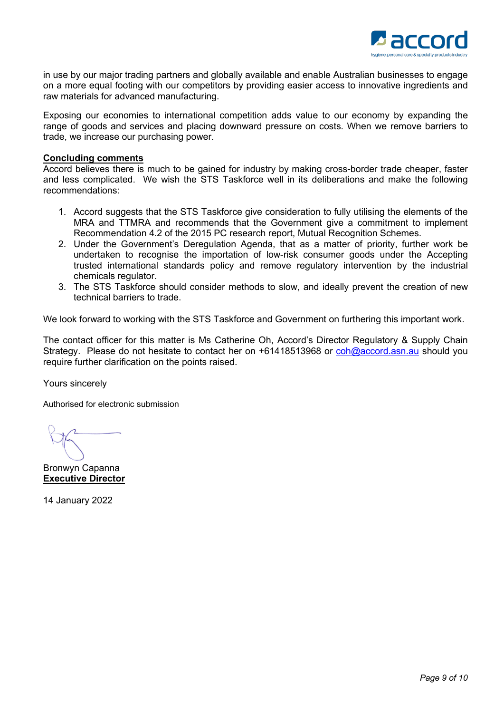

in use by our major trading partners and globally available and enable Australian businesses to engage on a more equal footing with our competitors by providing easier access to innovative ingredients and raw materials for advanced manufacturing.

Exposing our economies to international competition adds value to our economy by expanding the range of goods and services and placing downward pressure on costs. When we remove barriers to trade, we increase our purchasing power.

### **Concluding comments**

Accord believes there is much to be gained for industry by making cross-border trade cheaper, faster and less complicated. We wish the STS Taskforce well in its deliberations and make the following recommendations:

- 1. Accord suggests that the STS Taskforce give consideration to fully utilising the elements of the MRA and TTMRA and recommends that the Government give a commitment to implement Recommendation 4.2 of the 2015 PC research report, Mutual Recognition Schemes.
- 2. Under the Government's Deregulation Agenda, that as a matter of priority, further work be undertaken to recognise the importation of low-risk consumer goods under the Accepting trusted international standards policy and remove regulatory intervention by the industrial chemicals regulator.
- 3. The STS Taskforce should consider methods to slow, and ideally prevent the creation of new technical barriers to trade.

We look forward to working with the STS Taskforce and Government on furthering this important work.

The contact officer for this matter is Ms Catherine Oh, Accord's Director Regulatory & Supply Chain Strategy. Please do not hesitate to contact her on +61418513968 or [coh@accord.asn.au](mailto:coh@accord.asn.au) should you require further clarification on the points raised.

Yours sincerely

Authorised for electronic submission

Bronwyn Capanna **Executive Director**

14 January 2022